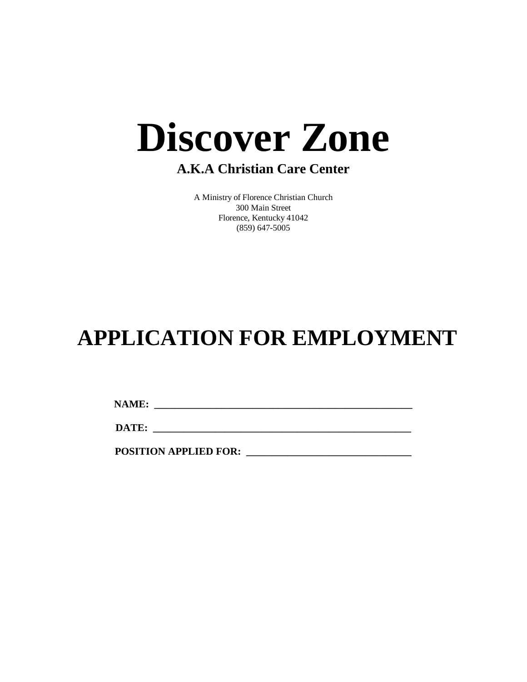# **Discover Zone**

### **A.K.A Christian Care Center**

A Ministry of Florence Christian Church 300 Main Street Florence, Kentucky 41042 (859) 647-5005

## **APPLICATION FOR EMPLOYMENT**

**NAME: \_\_\_\_\_\_\_\_\_\_\_\_\_\_\_\_\_\_\_\_\_\_\_\_\_\_\_\_\_\_\_\_\_\_\_\_\_\_\_\_\_\_\_\_\_\_\_\_\_\_**

**DATE:**  $\blacksquare$ 

**POSITION APPLIED FOR: \_\_\_\_\_\_\_\_\_\_\_\_\_\_\_\_\_\_\_\_\_\_\_\_\_\_\_\_\_\_\_\_**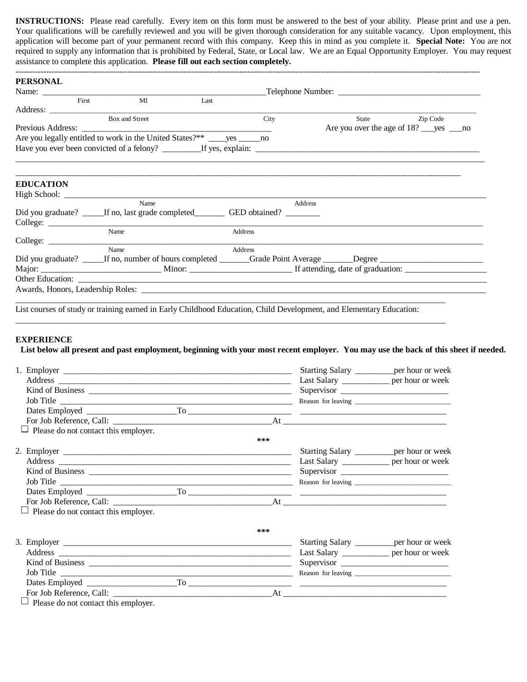**INSTRUCTIONS:** Please read carefully. Every item on this form must be answered to the best of your ability. Please print and use a pen. Your qualifications will be carefully reviewed and you will be given thorough consideration for any suitable vacancy. Upon employment, this application will become part of your permanent record with this company. Keep this in mind as you complete it. **Special Note:** You are not required to supply any information that is prohibited by Federal, State, or Local law. We are an Equal Opportunity Employer. You may request assistance to complete this application. **Please fill out each section completely.**

| <b>PERSONAL</b>             |                                                                                                                                     |                          |         |                                             |                                                 |  |
|-----------------------------|-------------------------------------------------------------------------------------------------------------------------------------|--------------------------|---------|---------------------------------------------|-------------------------------------------------|--|
| Name:                       | <u>Telephone Number:</u>                                                                                                            |                          |         |                                             |                                                 |  |
| First                       | <b>MI</b>                                                                                                                           | $\overline{\text{Last}}$ |         |                                             |                                                 |  |
|                             |                                                                                                                                     |                          |         |                                             |                                                 |  |
|                             | Box and Street                                                                                                                      |                          | City    |                                             | State<br>Zip Code                               |  |
| Previous Address: _________ |                                                                                                                                     |                          |         |                                             | Are you over the age of 18? _____ yes ______ no |  |
|                             |                                                                                                                                     |                          |         |                                             |                                                 |  |
|                             |                                                                                                                                     |                          |         |                                             |                                                 |  |
| <b>EDUCATION</b>            |                                                                                                                                     |                          |         |                                             |                                                 |  |
|                             |                                                                                                                                     |                          |         |                                             |                                                 |  |
|                             | Name                                                                                                                                |                          |         | Address                                     |                                                 |  |
|                             | Did you graduate? ______If no, last grade completed _____________________________                                                   |                          |         |                                             |                                                 |  |
|                             |                                                                                                                                     |                          |         |                                             |                                                 |  |
|                             | Name                                                                                                                                |                          | Address |                                             |                                                 |  |
|                             | Name                                                                                                                                |                          | Address |                                             |                                                 |  |
|                             |                                                                                                                                     |                          |         |                                             |                                                 |  |
|                             |                                                                                                                                     |                          |         |                                             |                                                 |  |
| Other Education:            |                                                                                                                                     |                          |         |                                             |                                                 |  |
|                             |                                                                                                                                     |                          |         |                                             |                                                 |  |
|                             |                                                                                                                                     |                          |         |                                             |                                                 |  |
|                             | List courses of study or training earned in Early Childhood Education, Child Development, and Elementary Education:                 |                          |         |                                             |                                                 |  |
|                             |                                                                                                                                     |                          |         |                                             |                                                 |  |
|                             |                                                                                                                                     |                          |         |                                             |                                                 |  |
| <b>EXPERIENCE</b>           |                                                                                                                                     |                          |         |                                             |                                                 |  |
|                             | List below all present and past employment, beginning with your most recent employer. You may use the back of this sheet if needed. |                          |         |                                             |                                                 |  |
|                             |                                                                                                                                     |                          |         | Starting Salary __________ per hour or week |                                                 |  |
|                             |                                                                                                                                     |                          |         | Last Salary _____________ per hour or week  |                                                 |  |
|                             |                                                                                                                                     |                          |         |                                             |                                                 |  |
|                             | Job Title                                                                                                                           |                          |         |                                             |                                                 |  |
|                             |                                                                                                                                     |                          |         |                                             |                                                 |  |

|                                             |                                            | Last Salary _______________ per hour or week |
|---------------------------------------------|--------------------------------------------|----------------------------------------------|
|                                             |                                            | Supervisor                                   |
|                                             |                                            |                                              |
|                                             |                                            |                                              |
|                                             |                                            |                                              |
| $\Box$ Please do not contact this employer. |                                            |                                              |
|                                             | ***                                        |                                              |
|                                             |                                            | Starting Salary __________ per hour or week  |
|                                             | Last Salary _____________ per hour or week |                                              |
|                                             |                                            | Supervisor                                   |
|                                             |                                            |                                              |
|                                             |                                            |                                              |
|                                             |                                            |                                              |
| $\Box$ Please do not contact this employer. |                                            |                                              |
|                                             | ***                                        |                                              |
|                                             |                                            | Starting Salary ___________ per hour or week |
|                                             |                                            | Last Salary _____________ per hour or week   |
|                                             |                                            |                                              |
| Job Title                                   |                                            |                                              |
|                                             |                                            |                                              |
|                                             |                                            |                                              |

 $\Box$  Please do not contact this employer.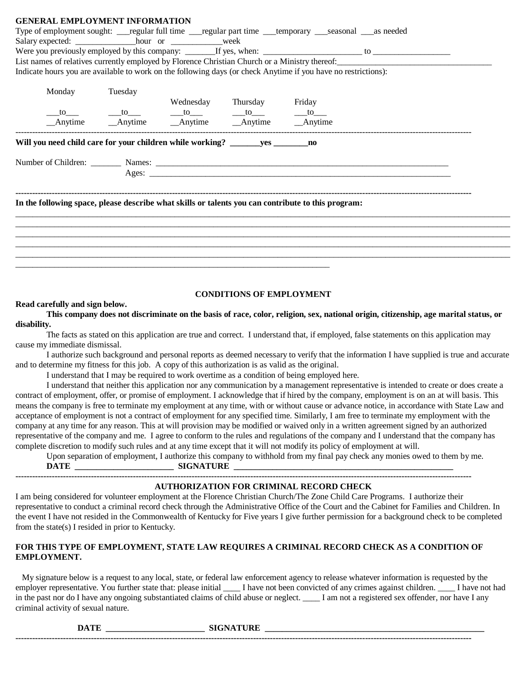| <b>GENERAL EMPLOYMENT INFORMATION</b>                                                                          |  |                                 |  |  |
|----------------------------------------------------------------------------------------------------------------|--|---------------------------------|--|--|
| Type of employment sought: ___regular full time ___regular part time ___temporary ___seasonal ___as needed     |  |                                 |  |  |
|                                                                                                                |  |                                 |  |  |
|                                                                                                                |  |                                 |  |  |
| List names of relatives currently employed by Florence Christian Church or a Ministry thereof:                 |  |                                 |  |  |
| Indicate hours you are available to work on the following days (or check Anytime if you have no restrictions): |  |                                 |  |  |
| Monday Tuesday                                                                                                 |  |                                 |  |  |
|                                                                                                                |  | Wednesday Thursday Friday       |  |  |
|                                                                                                                |  |                                 |  |  |
|                                                                                                                |  |                                 |  |  |
|                                                                                                                |  |                                 |  |  |
| In the following space, please describe what skills or talents you can contribute to this program:             |  |                                 |  |  |
|                                                                                                                |  |                                 |  |  |
|                                                                                                                |  |                                 |  |  |
|                                                                                                                |  |                                 |  |  |
|                                                                                                                |  |                                 |  |  |
|                                                                                                                |  |                                 |  |  |
|                                                                                                                |  |                                 |  |  |
|                                                                                                                |  | <b>CONDITIONS OF EMPLOYMENT</b> |  |  |

#### **Read carefully and sign below.**

**This company does not discriminate on the basis of race, color, religion, sex, national origin, citizenship, age marital status, or disability.**

The facts as stated on this application are true and correct. I understand that, if employed, false statements on this application may cause my immediate dismissal.

I authorize such background and personal reports as deemed necessary to verify that the information I have supplied is true and accurate and to determine my fitness for this job. A copy of this authorization is as valid as the original.

I understand that I may be required to work overtime as a condition of being employed here.

I understand that neither this application nor any communication by a management representative is intended to create or does create a contract of employment, offer, or promise of employment. I acknowledge that if hired by the company, employment is on an at will basis. This means the company is free to terminate my employment at any time, with or without cause or advance notice, in accordance with State Law and acceptance of employment is not a contract of employment for any specified time. Similarly, I am free to terminate my employment with the company at any time for any reason. This at will provision may be modified or waived only in a written agreement signed by an authorized representative of the company and me. I agree to conform to the rules and regulations of the company and I understand that the company has complete discretion to modify such rules and at any time except that it will not modify its policy of employment at will.

Upon separation of employment, I authorize this company to withhold from my final pay check any monies owed to them by me.  $\blacksquare$   $\blacksquare$   $\blacksquare$   $\blacksquare$   $\blacksquare$   $\blacksquare$   $\blacksquare$   $\blacksquare$   $\blacksquare$   $\blacksquare$   $\blacksquare$   $\blacksquare$   $\blacksquare$   $\blacksquare$   $\blacksquare$   $\blacksquare$   $\blacksquare$   $\blacksquare$   $\blacksquare$   $\blacksquare$   $\blacksquare$   $\blacksquare$   $\blacksquare$   $\blacksquare$   $\blacksquare$   $\blacksquare$   $\blacksquare$   $\blacksquare$   $\blacksquare$   $\blacksquare$   $\blacksquare$   $\blacksquare$ 

**-------------------------------------------------------------------------------------------------------------------------------------------------------------------**

#### **AUTHORIZATION FOR CRIMINAL RECORD CHECK**

I am being considered for volunteer employment at the Florence Christian Church/The Zone Child Care Programs. I authorize their representative to conduct a criminal record check through the Administrative Office of the Court and the Cabinet for Families and Children. In the event I have not resided in the Commonwealth of Kentucky for Five years I give further permission for a background check to be completed from the state(s) I resided in prior to Kentucky.

#### **FOR THIS TYPE OF EMPLOYMENT, STATE LAW REQUIRES A CRIMINAL RECORD CHECK AS A CONDITION OF EMPLOYMENT.**

 My signature below is a request to any local, state, or federal law enforcement agency to release whatever information is requested by the employer representative. You further state that: please initial \_\_\_\_\_ I have not been convicted of any crimes against children. \_\_\_\_\_ I have not had in the past nor do I have any ongoing substantiated claims of child abuse or neglect. I am not a registered sex offender, nor have I any criminal activity of sexual nature.

**DATE \_\_\_\_\_\_\_\_\_\_\_\_\_\_\_\_\_\_\_\_\_\_\_ SIGNATURE \_\_\_\_\_\_\_\_\_\_\_\_\_\_\_\_\_\_\_\_\_\_\_\_\_\_\_\_\_\_\_\_\_\_\_\_\_\_\_\_\_\_\_\_\_\_\_\_\_\_\_**

**-------------------------------------------------------------------------------------------------------------------------------------------------------------------**